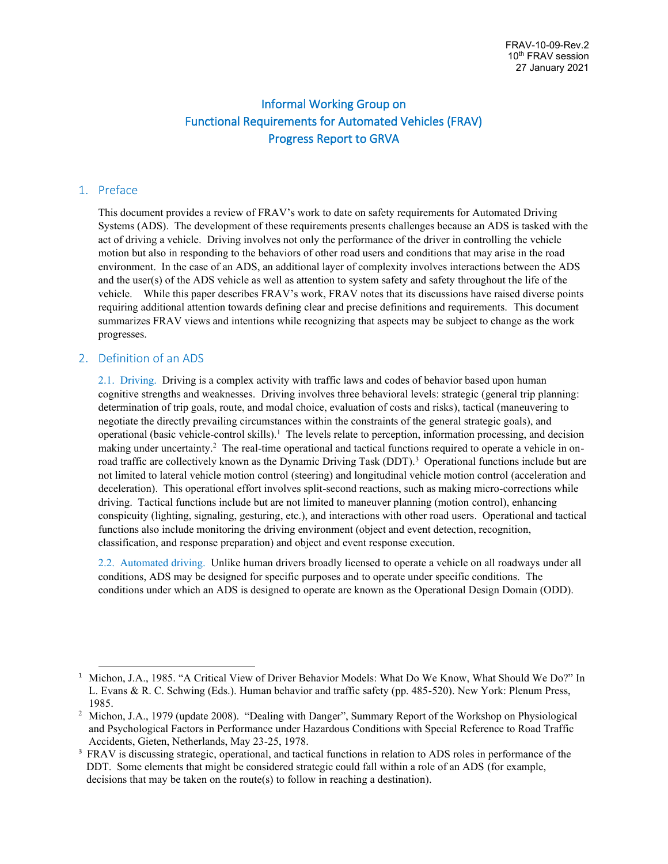# Informal Working Group on Functional Requirements for Automated Vehicles (FRAV) Progress Report to GRVA

#### 1. Preface

This document provides a review of FRAV's work to date on safety requirements for Automated Driving Systems (ADS). The development of these requirements presents challenges because an ADS is tasked with the act of driving a vehicle. Driving involves not only the performance of the driver in controlling the vehicle motion but also in responding to the behaviors of other road users and conditions that may arise in the road environment. In the case of an ADS, an additional layer of complexity involves interactions between the ADS and the user(s) of the ADS vehicle as well as attention to system safety and safety throughout the life of the vehicle. While this paper describes FRAV's work, FRAV notes that its discussions have raised diverse points requiring additional attention towards defining clear and precise definitions and requirements. This document summarizes FRAV views and intentions while recognizing that aspects may be subject to change as the work progresses.

#### 2. Definition of an ADS

2.1. Driving. Driving is a complex activity with traffic laws and codes of behavior based upon human cognitive strengths and weaknesses. Driving involves three behavioral levels: strategic (general trip planning: determination of trip goals, route, and modal choice, evaluation of costs and risks), tactical (maneuvering to negotiate the directly prevailing circumstances within the constraints of the general strategic goals), and operational (basic vehicle-control skills).<sup>1</sup> The levels relate to perception, information processing, and decision making under uncertainty.<sup>2</sup> The real-time operational and tactical functions required to operate a vehicle in onroad traffic are collectively known as the Dynamic Driving Task (DDT).<sup>3</sup> Operational functions include but are not limited to lateral vehicle motion control (steering) and longitudinal vehicle motion control (acceleration and deceleration). This operational effort involves split-second reactions, such as making micro-corrections while driving. Tactical functions include but are not limited to maneuver planning (motion control), enhancing conspicuity (lighting, signaling, gesturing, etc.), and interactions with other road users. Operational and tactical functions also include monitoring the driving environment (object and event detection, recognition, classification, and response preparation) and object and event response execution.

2.2. Automated driving. Unlike human drivers broadly licensed to operate a vehicle on all roadways under all conditions, ADS may be designed for specific purposes and to operate under specific conditions. The conditions under which an ADS is designed to operate are known as the Operational Design Domain (ODD).

<sup>&</sup>lt;sup>1</sup> Michon, J.A., 1985. "A Critical View of Driver Behavior Models: What Do We Know, What Should We Do?" In L. Evans & R. C. Schwing (Eds.). Human behavior and traffic safety (pp. 485-520). New York: Plenum Press, 1985.

<sup>&</sup>lt;sup>2</sup> Michon, J.A., 1979 (update 2008). "Dealing with Danger", Summary Report of the Workshop on Physiological and Psychological Factors in Performance under Hazardous Conditions with Special Reference to Road Traffic Accidents, Gieten, Netherlands, May 23-25, 1978.

<sup>&</sup>lt;sup>3</sup> FRAV is discussing strategic, operational, and tactical functions in relation to ADS roles in performance of the DDT. Some elements that might be considered strategic could fall within a role of an ADS (for example, decisions that may be taken on the route(s) to follow in reaching a destination).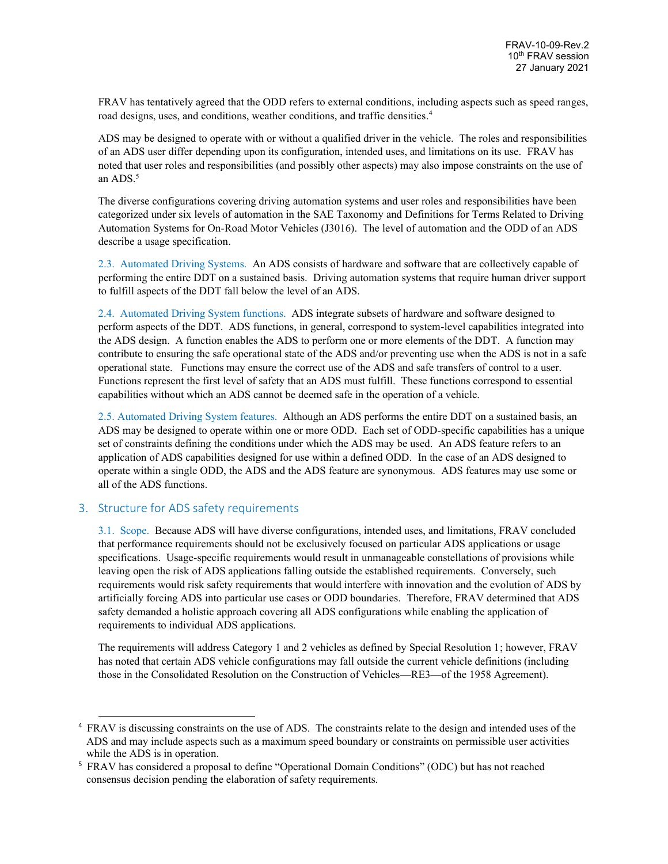FRAV has tentatively agreed that the ODD refers to external conditions, including aspects such as speed ranges, road designs, uses, and conditions, weather conditions, and traffic densities. 4

ADS may be designed to operate with or without a qualified driver in the vehicle. The roles and responsibilities of an ADS user differ depending upon its configuration, intended uses, and limitations on its use. FRAV has noted that user roles and responsibilities (and possibly other aspects) may also impose constraints on the use of an ADS.<sup>5</sup>

The diverse configurations covering driving automation systems and user roles and responsibilities have been categorized under six levels of automation in the SAE Taxonomy and Definitions for Terms Related to Driving Automation Systems for On-Road Motor Vehicles (J3016). The level of automation and the ODD of an ADS describe a usage specification.

2.3. Automated Driving Systems. An ADS consists of hardware and software that are collectively capable of performing the entire DDT on a sustained basis. Driving automation systems that require human driver support to fulfill aspects of the DDT fall below the level of an ADS.

2.4. Automated Driving System functions. ADS integrate subsets of hardware and software designed to perform aspects of the DDT. ADS functions, in general, correspond to system-level capabilities integrated into the ADS design. A function enables the ADS to perform one or more elements of the DDT. A function may contribute to ensuring the safe operational state of the ADS and/or preventing use when the ADS is not in a safe operational state. Functions may ensure the correct use of the ADS and safe transfers of control to a user. Functions represent the first level of safety that an ADS must fulfill. These functions correspond to essential capabilities without which an ADS cannot be deemed safe in the operation of a vehicle.

2.5. Automated Driving System features. Although an ADS performs the entire DDT on a sustained basis, an ADS may be designed to operate within one or more ODD. Each set of ODD-specific capabilities has a unique set of constraints defining the conditions under which the ADS may be used. An ADS feature refers to an application of ADS capabilities designed for use within a defined ODD. In the case of an ADS designed to operate within a single ODD, the ADS and the ADS feature are synonymous. ADS features may use some or all of the ADS functions.

## 3. Structure for ADS safety requirements

3.1. Scope. Because ADS will have diverse configurations, intended uses, and limitations, FRAV concluded that performance requirements should not be exclusively focused on particular ADS applications or usage specifications. Usage-specific requirements would result in unmanageable constellations of provisions while leaving open the risk of ADS applications falling outside the established requirements. Conversely, such requirements would risk safety requirements that would interfere with innovation and the evolution of ADS by artificially forcing ADS into particular use cases or ODD boundaries. Therefore, FRAV determined that ADS safety demanded a holistic approach covering all ADS configurations while enabling the application of requirements to individual ADS applications.

The requirements will address Category 1 and 2 vehicles as defined by Special Resolution 1; however, FRAV has noted that certain ADS vehicle configurations may fall outside the current vehicle definitions (including those in the Consolidated Resolution on the Construction of Vehicles—RE3—of the 1958 Agreement).

<sup>&</sup>lt;sup>4</sup> FRAV is discussing constraints on the use of ADS. The constraints relate to the design and intended uses of the ADS and may include aspects such as a maximum speed boundary or constraints on permissible user activities while the ADS is in operation.

<sup>5</sup> FRAV has considered a proposal to define "Operational Domain Conditions" (ODC) but has not reached consensus decision pending the elaboration of safety requirements.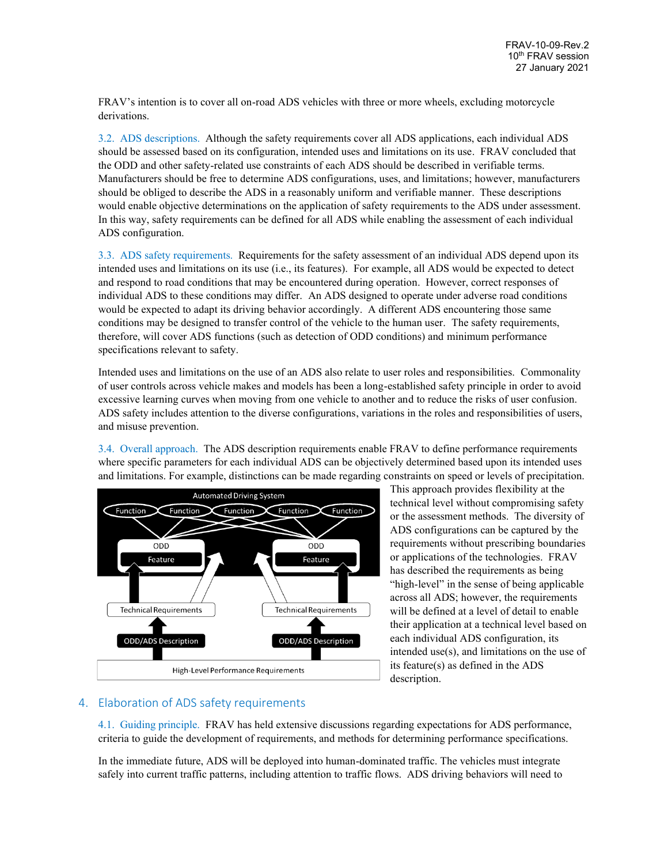FRAV's intention is to cover all on-road ADS vehicles with three or more wheels, excluding motorcycle derivations.

3.2. ADS descriptions. Although the safety requirements cover all ADS applications, each individual ADS should be assessed based on its configuration, intended uses and limitations on its use. FRAV concluded that the ODD and other safety-related use constraints of each ADS should be described in verifiable terms. Manufacturers should be free to determine ADS configurations, uses, and limitations; however, manufacturers should be obliged to describe the ADS in a reasonably uniform and verifiable manner. These descriptions would enable objective determinations on the application of safety requirements to the ADS under assessment. In this way, safety requirements can be defined for all ADS while enabling the assessment of each individual ADS configuration.

3.3. ADS safety requirements. Requirements for the safety assessment of an individual ADS depend upon its intended uses and limitations on its use (i.e., its features). For example, all ADS would be expected to detect and respond to road conditions that may be encountered during operation. However, correct responses of individual ADS to these conditions may differ. An ADS designed to operate under adverse road conditions would be expected to adapt its driving behavior accordingly. A different ADS encountering those same conditions may be designed to transfer control of the vehicle to the human user. The safety requirements, therefore, will cover ADS functions (such as detection of ODD conditions) and minimum performance specifications relevant to safety.

Intended uses and limitations on the use of an ADS also relate to user roles and responsibilities. Commonality of user controls across vehicle makes and models has been a long-established safety principle in order to avoid excessive learning curves when moving from one vehicle to another and to reduce the risks of user confusion. ADS safety includes attention to the diverse configurations, variations in the roles and responsibilities of users, and misuse prevention.

3.4. Overall approach. The ADS description requirements enable FRAV to define performance requirements where specific parameters for each individual ADS can be objectively determined based upon its intended uses and limitations. For example, distinctions can be made regarding constraints on speed or levels of precipitation.



This approach provides flexibility at the technical level without compromising safety or the assessment methods. The diversity of ADS configurations can be captured by the requirements without prescribing boundaries or applications of the technologies. FRAV has described the requirements as being "high-level" in the sense of being applicable across all ADS; however, the requirements will be defined at a level of detail to enable their application at a technical level based on each individual ADS configuration, its intended use(s), and limitations on the use of its feature(s) as defined in the ADS description.

## 4. Elaboration of ADS safety requirements

4.1. Guiding principle. FRAV has held extensive discussions regarding expectations for ADS performance, criteria to guide the development of requirements, and methods for determining performance specifications.

In the immediate future, ADS will be deployed into human-dominated traffic. The vehicles must integrate safely into current traffic patterns, including attention to traffic flows. ADS driving behaviors will need to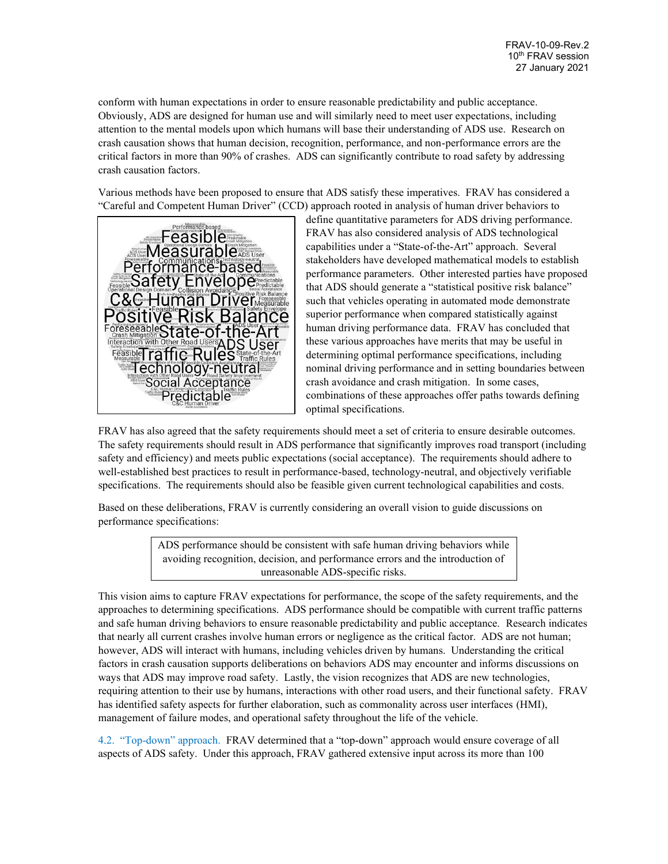conform with human expectations in order to ensure reasonable predictability and public acceptance. Obviously, ADS are designed for human use and will similarly need to meet user expectations, including attention to the mental models upon which humans will base their understanding of ADS use. Research on crash causation shows that human decision, recognition, performance, and non-performance errors are the critical factors in more than 90% of crashes. ADS can significantly contribute to road safety by addressing crash causation factors.

Various methods have been proposed to ensure that ADS satisfy these imperatives. FRAV has considered a "Careful and Competent Human Driver" (CCD) approach rooted in analysis of human driver behaviors to



define quantitative parameters for ADS driving performance. FRAV has also considered analysis of ADS technological capabilities under a "State-of-the-Art" approach. Several stakeholders have developed mathematical models to establish performance parameters. Other interested parties have proposed that ADS should generate a "statistical positive risk balance" such that vehicles operating in automated mode demonstrate superior performance when compared statistically against human driving performance data. FRAV has concluded that these various approaches have merits that may be useful in determining optimal performance specifications, including nominal driving performance and in setting boundaries between crash avoidance and crash mitigation. In some cases, combinations of these approaches offer paths towards defining optimal specifications.

FRAV has also agreed that the safety requirements should meet a set of criteria to ensure desirable outcomes. The safety requirements should result in ADS performance that significantly improves road transport (including safety and efficiency) and meets public expectations (social acceptance). The requirements should adhere to well-established best practices to result in performance-based, technology-neutral, and objectively verifiable specifications. The requirements should also be feasible given current technological capabilities and costs.

Based on these deliberations, FRAV is currently considering an overall vision to guide discussions on performance specifications:

> ADS performance should be consistent with safe human driving behaviors while avoiding recognition, decision, and performance errors and the introduction of unreasonable ADS-specific risks.

This vision aims to capture FRAV expectations for performance, the scope of the safety requirements, and the approaches to determining specifications. ADS performance should be compatible with current traffic patterns and safe human driving behaviors to ensure reasonable predictability and public acceptance. Research indicates that nearly all current crashes involve human errors or negligence as the critical factor. ADS are not human; however, ADS will interact with humans, including vehicles driven by humans. Understanding the critical factors in crash causation supports deliberations on behaviors ADS may encounter and informs discussions on ways that ADS may improve road safety. Lastly, the vision recognizes that ADS are new technologies, requiring attention to their use by humans, interactions with other road users, and their functional safety. FRAV has identified safety aspects for further elaboration, such as commonality across user interfaces (HMI), management of failure modes, and operational safety throughout the life of the vehicle.

4.2. "Top-down" approach. FRAV determined that a "top-down" approach would ensure coverage of all aspects of ADS safety. Under this approach, FRAV gathered extensive input across its more than 100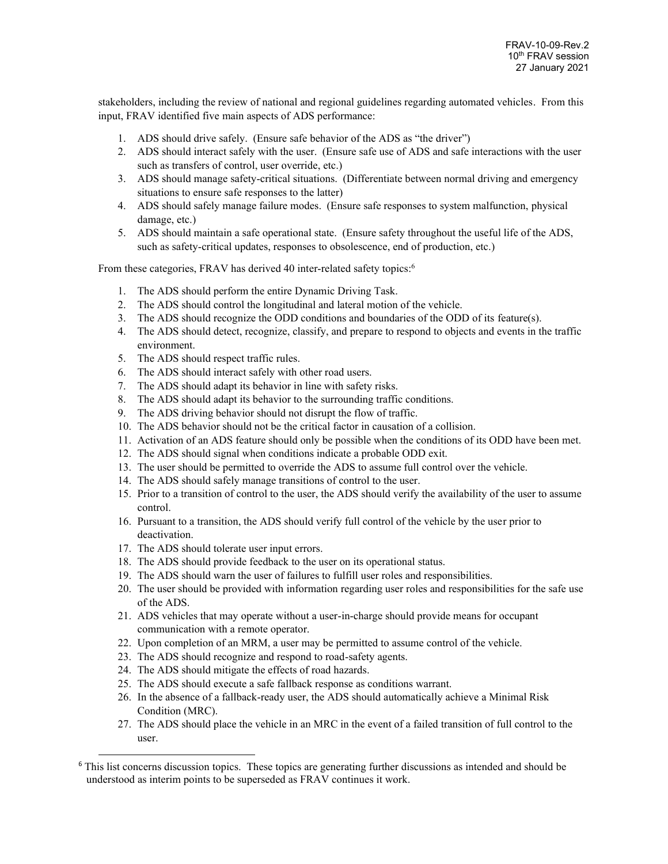stakeholders, including the review of national and regional guidelines regarding automated vehicles. From this input, FRAV identified five main aspects of ADS performance:

- 1. ADS should drive safely. (Ensure safe behavior of the ADS as "the driver")
- 2. ADS should interact safely with the user. (Ensure safe use of ADS and safe interactions with the user such as transfers of control, user override, etc.)
- 3. ADS should manage safety-critical situations. (Differentiate between normal driving and emergency situations to ensure safe responses to the latter)
- 4. ADS should safely manage failure modes. (Ensure safe responses to system malfunction, physical damage, etc.)
- 5. ADS should maintain a safe operational state. (Ensure safety throughout the useful life of the ADS, such as safety-critical updates, responses to obsolescence, end of production, etc.)

From these categories, FRAV has derived 40 inter-related safety topics:<sup>6</sup>

- 1. The ADS should perform the entire Dynamic Driving Task.
- 2. The ADS should control the longitudinal and lateral motion of the vehicle.
- 3. The ADS should recognize the ODD conditions and boundaries of the ODD of its feature(s).
- 4. The ADS should detect, recognize, classify, and prepare to respond to objects and events in the traffic environment.
- 5. The ADS should respect traffic rules.
- 6. The ADS should interact safely with other road users.
- 7. The ADS should adapt its behavior in line with safety risks.
- 8. The ADS should adapt its behavior to the surrounding traffic conditions.
- 9. The ADS driving behavior should not disrupt the flow of traffic.
- 10. The ADS behavior should not be the critical factor in causation of a collision.
- 11. Activation of an ADS feature should only be possible when the conditions of its ODD have been met.
- 12. The ADS should signal when conditions indicate a probable ODD exit.
- 13. The user should be permitted to override the ADS to assume full control over the vehicle.
- 14. The ADS should safely manage transitions of control to the user.
- 15. Prior to a transition of control to the user, the ADS should verify the availability of the user to assume control.
- 16. Pursuant to a transition, the ADS should verify full control of the vehicle by the user prior to deactivation.
- 17. The ADS should tolerate user input errors.
- 18. The ADS should provide feedback to the user on its operational status.
- 19. The ADS should warn the user of failures to fulfill user roles and responsibilities.
- 20. The user should be provided with information regarding user roles and responsibilities for the safe use of the ADS.
- 21. ADS vehicles that may operate without a user-in-charge should provide means for occupant communication with a remote operator.
- 22. Upon completion of an MRM, a user may be permitted to assume control of the vehicle.
- 23. The ADS should recognize and respond to road-safety agents.
- 24. The ADS should mitigate the effects of road hazards.
- 25. The ADS should execute a safe fallback response as conditions warrant.
- 26. In the absence of a fallback-ready user, the ADS should automatically achieve a Minimal Risk Condition (MRC).
- 27. The ADS should place the vehicle in an MRC in the event of a failed transition of full control to the user.

<sup>6</sup> This list concerns discussion topics. These topics are generating further discussions as intended and should be understood as interim points to be superseded as FRAV continues it work.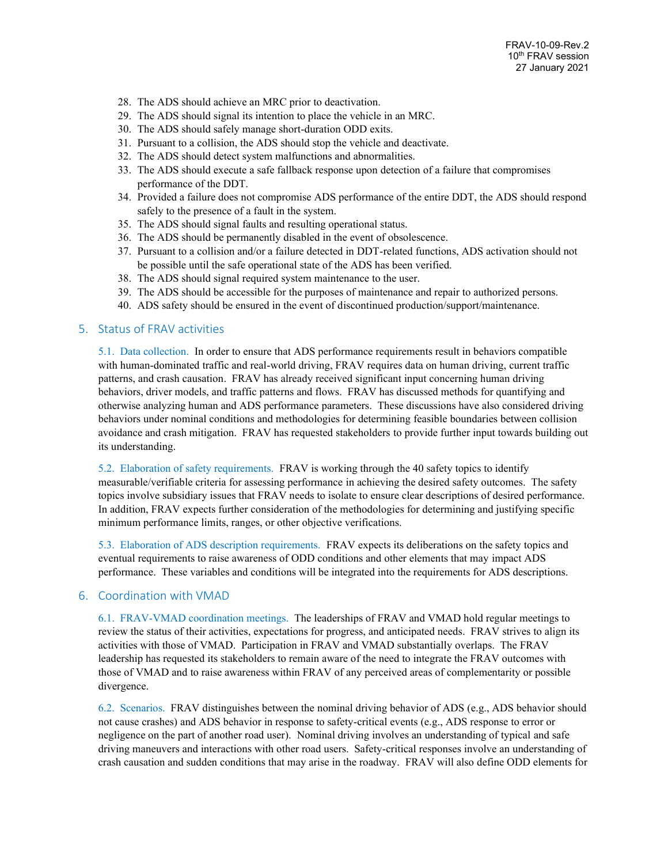- 28. The ADS should achieve an MRC prior to deactivation.
- 29. The ADS should signal its intention to place the vehicle in an MRC.
- 30. The ADS should safely manage short-duration ODD exits.
- 31. Pursuant to a collision, the ADS should stop the vehicle and deactivate.
- 32. The ADS should detect system malfunctions and abnormalities.
- 33. The ADS should execute a safe fallback response upon detection of a failure that compromises performance of the DDT.
- 34. Provided a failure does not compromise ADS performance of the entire DDT, the ADS should respond safely to the presence of a fault in the system.
- 35. The ADS should signal faults and resulting operational status.
- 36. The ADS should be permanently disabled in the event of obsolescence.
- 37. Pursuant to a collision and/or a failure detected in DDT-related functions, ADS activation should not be possible until the safe operational state of the ADS has been verified.
- 38. The ADS should signal required system maintenance to the user.
- 39. The ADS should be accessible for the purposes of maintenance and repair to authorized persons.
- 40. ADS safety should be ensured in the event of discontinued production/support/maintenance.

#### 5. Status of FRAV activities

5.1. Data collection. In order to ensure that ADS performance requirements result in behaviors compatible with human-dominated traffic and real-world driving, FRAV requires data on human driving, current traffic patterns, and crash causation. FRAV has already received significant input concerning human driving behaviors, driver models, and traffic patterns and flows. FRAV has discussed methods for quantifying and otherwise analyzing human and ADS performance parameters. These discussions have also considered driving behaviors under nominal conditions and methodologies for determining feasible boundaries between collision avoidance and crash mitigation. FRAV has requested stakeholders to provide further input towards building out its understanding.

5.2. Elaboration of safety requirements. FRAV is working through the 40 safety topics to identify measurable/verifiable criteria for assessing performance in achieving the desired safety outcomes. The safety topics involve subsidiary issues that FRAV needs to isolate to ensure clear descriptions of desired performance. In addition, FRAV expects further consideration of the methodologies for determining and justifying specific minimum performance limits, ranges, or other objective verifications.

5.3. Elaboration of ADS description requirements. FRAV expects its deliberations on the safety topics and eventual requirements to raise awareness of ODD conditions and other elements that may impact ADS performance. These variables and conditions will be integrated into the requirements for ADS descriptions.

## 6. Coordination with VMAD

6.1. FRAV-VMAD coordination meetings. The leaderships of FRAV and VMAD hold regular meetings to review the status of their activities, expectations for progress, and anticipated needs. FRAV strives to align its activities with those of VMAD. Participation in FRAV and VMAD substantially overlaps. The FRAV leadership has requested its stakeholders to remain aware of the need to integrate the FRAV outcomes with those of VMAD and to raise awareness within FRAV of any perceived areas of complementarity or possible divergence.

6.2. Scenarios. FRAV distinguishes between the nominal driving behavior of ADS (e.g., ADS behavior should not cause crashes) and ADS behavior in response to safety-critical events (e.g., ADS response to error or negligence on the part of another road user). Nominal driving involves an understanding of typical and safe driving maneuvers and interactions with other road users. Safety-critical responses involve an understanding of crash causation and sudden conditions that may arise in the roadway. FRAV will also define ODD elements for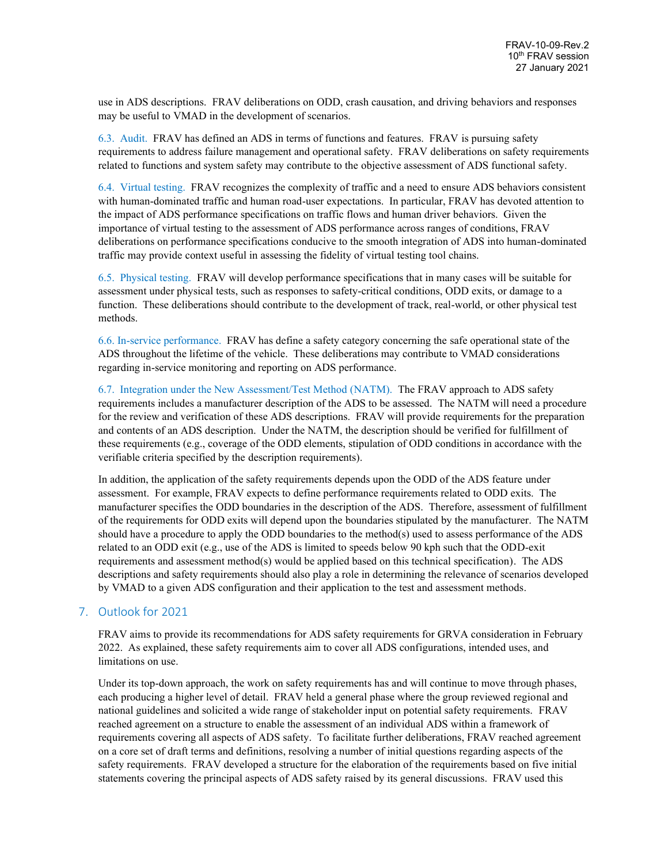use in ADS descriptions. FRAV deliberations on ODD, crash causation, and driving behaviors and responses may be useful to VMAD in the development of scenarios.

6.3. Audit. FRAV has defined an ADS in terms of functions and features. FRAV is pursuing safety requirements to address failure management and operational safety. FRAV deliberations on safety requirements related to functions and system safety may contribute to the objective assessment of ADS functional safety.

6.4. Virtual testing. FRAV recognizes the complexity of traffic and a need to ensure ADS behaviors consistent with human-dominated traffic and human road-user expectations. In particular, FRAV has devoted attention to the impact of ADS performance specifications on traffic flows and human driver behaviors. Given the importance of virtual testing to the assessment of ADS performance across ranges of conditions, FRAV deliberations on performance specifications conducive to the smooth integration of ADS into human-dominated traffic may provide context useful in assessing the fidelity of virtual testing tool chains.

6.5. Physical testing. FRAV will develop performance specifications that in many cases will be suitable for assessment under physical tests, such as responses to safety-critical conditions, ODD exits, or damage to a function. These deliberations should contribute to the development of track, real-world, or other physical test methods.

6.6. In-service performance. FRAV has define a safety category concerning the safe operational state of the ADS throughout the lifetime of the vehicle. These deliberations may contribute to VMAD considerations regarding in-service monitoring and reporting on ADS performance.

6.7. Integration under the New Assessment/Test Method (NATM). The FRAV approach to ADS safety requirements includes a manufacturer description of the ADS to be assessed. The NATM will need a procedure for the review and verification of these ADS descriptions. FRAV will provide requirements for the preparation and contents of an ADS description. Under the NATM, the description should be verified for fulfillment of these requirements (e.g., coverage of the ODD elements, stipulation of ODD conditions in accordance with the verifiable criteria specified by the description requirements).

In addition, the application of the safety requirements depends upon the ODD of the ADS feature under assessment. For example, FRAV expects to define performance requirements related to ODD exits. The manufacturer specifies the ODD boundaries in the description of the ADS. Therefore, assessment of fulfillment of the requirements for ODD exits will depend upon the boundaries stipulated by the manufacturer. The NATM should have a procedure to apply the ODD boundaries to the method(s) used to assess performance of the ADS related to an ODD exit (e.g., use of the ADS is limited to speeds below 90 kph such that the ODD-exit requirements and assessment method(s) would be applied based on this technical specification). The ADS descriptions and safety requirements should also play a role in determining the relevance of scenarios developed by VMAD to a given ADS configuration and their application to the test and assessment methods.

## 7. Outlook for 2021

FRAV aims to provide its recommendations for ADS safety requirements for GRVA consideration in February 2022. As explained, these safety requirements aim to cover all ADS configurations, intended uses, and limitations on use.

Under its top-down approach, the work on safety requirements has and will continue to move through phases, each producing a higher level of detail. FRAV held a general phase where the group reviewed regional and national guidelines and solicited a wide range of stakeholder input on potential safety requirements. FRAV reached agreement on a structure to enable the assessment of an individual ADS within a framework of requirements covering all aspects of ADS safety. To facilitate further deliberations, FRAV reached agreement on a core set of draft terms and definitions, resolving a number of initial questions regarding aspects of the safety requirements. FRAV developed a structure for the elaboration of the requirements based on five initial statements covering the principal aspects of ADS safety raised by its general discussions. FRAV used this